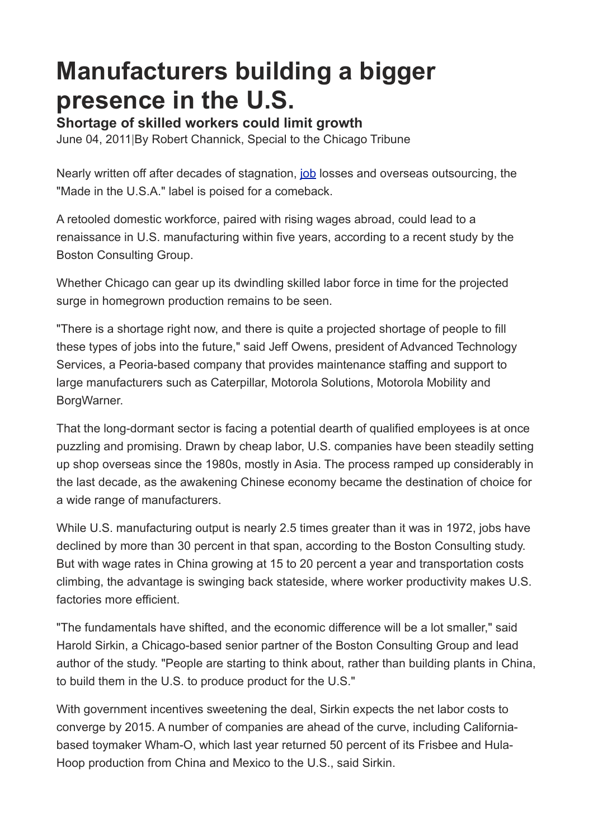## **Manufacturers building a bigger presence in the U.S.**

**Shortage of skilled workers could limit growth**

June 04, 2011|By Robert Channick, Special to the Chicago Tribune

Nearly written off after decades of stagnation, [job](http://articles.chicagotribune.com/2011-06-04/business/ct-biz-0605-manufacturing-hiring-20110604_1_manufacturing-output-production-bigger-presence#) losses and overseas outsourcing, the "Made in the U.S.A." label is poised for a comeback.

A retooled domestic workforce, paired with rising wages abroad, could lead to a renaissance in U.S. manufacturing within five years, according to a recent study by the Boston Consulting Group.

Whether Chicago can gear up its dwindling skilled labor force in time for the projected surge in homegrown production remains to be seen.

"There is a shortage right now, and there is quite a projected shortage of people to fill these types of jobs into the future," said Jeff Owens, president of Advanced Technology Services, a Peoria-based company that provides maintenance staffing and support to large manufacturers such as Caterpillar, Motorola Solutions, Motorola Mobility and BorgWarner.

That the long-dormant sector is facing a potential dearth of qualified employees is at once puzzling and promising. Drawn by cheap labor, U.S. companies have been steadily setting up shop overseas since the 1980s, mostly in Asia. The process ramped up considerably in the last decade, as the awakening Chinese economy became the destination of choice for a wide range of manufacturers.

While U.S. manufacturing output is nearly 2.5 times greater than it was in 1972, jobs have declined by more than 30 percent in that span, according to the Boston Consulting study. But with wage rates in China growing at 15 to 20 percent a year and transportation costs climbing, the advantage is swinging back stateside, where worker productivity makes U.S. factories more efficient.

"The fundamentals have shifted, and the economic difference will be a lot smaller," said Harold Sirkin, a Chicago-based senior partner of the Boston Consulting Group and lead author of the study. "People are starting to think about, rather than building plants in China, to build them in the U.S. to produce product for the U.S."

With government incentives sweetening the deal, Sirkin expects the net labor costs to converge by 2015. A number of companies are ahead of the curve, including Californiabased toymaker Wham-O, which last year returned 50 percent of its Frisbee and Hula-Hoop production from China and Mexico to the U.S., said Sirkin.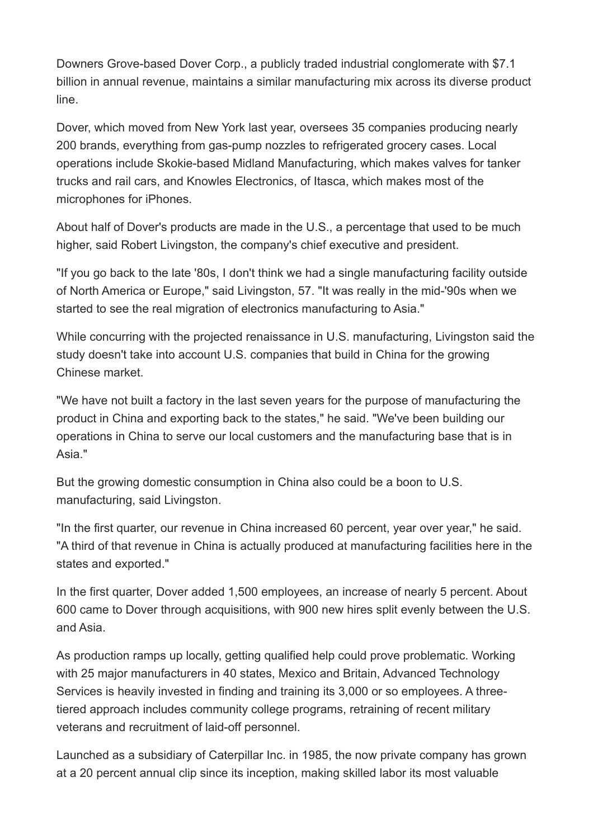Downers Grove-based Dover Corp., a publicly traded industrial conglomerate with \$7.1 billion in annual revenue, maintains a similar manufacturing mix across its diverse product line.

Dover, which moved from New York last year, oversees 35 companies producing nearly 200 brands, everything from gas-pump nozzles to refrigerated grocery cases. Local operations include Skokie-based Midland Manufacturing, which makes valves for tanker trucks and rail cars, and Knowles Electronics, of Itasca, which makes most of the microphones for iPhones.

About half of Dover's products are made in the U.S., a percentage that used to be much higher, said Robert Livingston, the company's chief executive and president.

"If you go back to the late '80s, I don't think we had a single manufacturing facility outside of North America or Europe," said Livingston, 57. "It was really in the mid-'90s when we started to see the real migration of electronics manufacturing to Asia."

While concurring with the projected renaissance in U.S. manufacturing, Livingston said the study doesn't take into account U.S. companies that build in China for the growing Chinese market.

"We have not built a factory in the last seven years for the purpose of manufacturing the product in China and exporting back to the states," he said. "We've been building our operations in China to serve our local customers and the manufacturing base that is in Asia."

But the growing domestic consumption in China also could be a boon to U.S. manufacturing, said Livingston.

"In the first quarter, our revenue in China increased 60 percent, year over year," he said. "A third of that revenue in China is actually produced at manufacturing facilities here in the states and exported."

In the first quarter, Dover added 1,500 employees, an increase of nearly 5 percent. About 600 came to Dover through acquisitions, with 900 new hires split evenly between the U.S. and Asia.

As production ramps up locally, getting qualified help could prove problematic. Working with 25 major manufacturers in 40 states, Mexico and Britain, Advanced Technology Services is heavily invested in finding and training its 3,000 or so employees. A threetiered approach includes community college programs, retraining of recent military veterans and recruitment of laid-off personnel.

Launched as a subsidiary of Caterpillar Inc. in 1985, the now private company has grown at a 20 percent annual clip since its inception, making skilled labor its most valuable